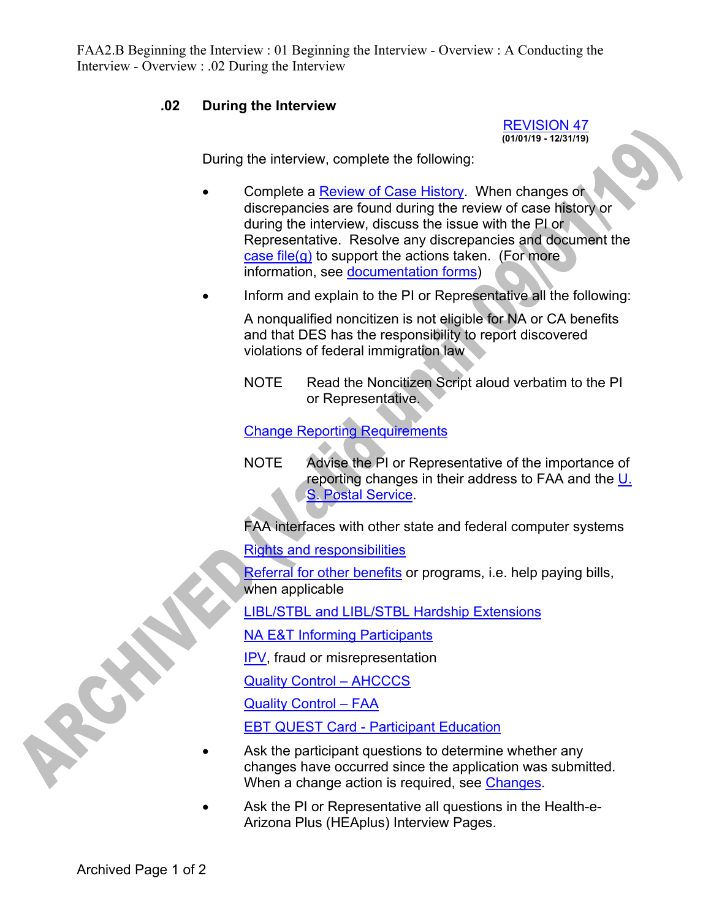FAA2.B Beginning the Interview : 01 Beginning the Interview - Overview : A Conducting the Interview - Overview : .02 During the Interview

## **.02 During the Interview**

REVISION 47 **(01/01/19 - 12/31/19)** 

During the interview, complete the following:

- Complete a Review of Case History. When changes or discrepancies are found during the review of case history or during the interview, discuss the issue with the PI or Representative. Resolve any discrepancies and document the case file(g) to support the actions taken. (For more information, see documentation forms)
- Inform and explain to the PI or Representative all the following:

A nonqualified noncitizen is not eligible for NA or CA benefits and that DES has the responsibility to report discovered violations of federal immigration law

NOTE Read the Noncitizen Script aloud verbatim to the PI or Representative.

Change Reporting Requirements

NOTE Advise the PI or Representative of the importance of reporting changes in their address to FAA and the U. S. Postal Service.

FAA interfaces with other state and federal computer systems

Rights and responsibilities

Referral for other benefits or programs, i.e. help paying bills, when applicable

LIBL/STBL and LIBL/STBL Hardship Extensions

NA E&T Informing Participants

IPV, fraud or misrepresentation

Quality Control – AHCCCS

Quality Control – FAA

EBT QUEST Card - Participant Education

- Ask the participant questions to determine whether any changes have occurred since the application was submitted. When a change action is required, see Changes.
- Ask the PI or Representative all questions in the Health-e-Arizona Plus (HEAplus) Interview Pages.